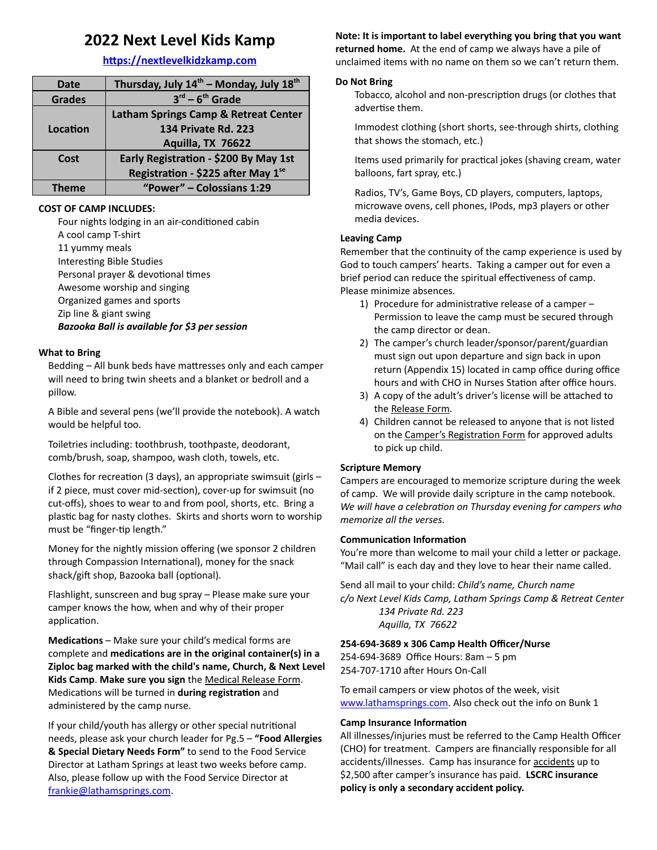## **2022 Next Level Kids Kamp**

#### **hps://nextlevelkidzkamp.com**

| <b>Date</b>   | Thursday, July 14 <sup>th</sup> - Monday, July 18 <sup>th</sup> |
|---------------|-----------------------------------------------------------------|
| <b>Grades</b> | $3^{rd} - 6^{th}$ Grade                                         |
|               | Latham Springs Camp & Retreat Center                            |
| Location      | 134 Private Rd. 223                                             |
|               | Aquilla, TX 76622                                               |
| Cost          | Early Registration - \$200 By May 1st                           |
|               | Registration - \$225 after May 1se                              |
| Theme         | "Power" - Colossians 1:29                                       |

#### **COST OF CAMP INCLUDES:**

Four nights lodging in an air-conditioned cabin A cool camp T-shirt 11 yummy meals Interesting Bible Studies Personal prayer & devotional times Awesome worship and singing Organized games and sports Zip line & giant swing *Bazooka Ball is available for \$3 per session*

#### **What to Bring**

Bedding - All bunk beds have mattresses only and each camper will need to bring twin sheets and a blanket or bedroll and a pillow.

A Bible and several pens (we'll provide the notebook). A watch would be helpful too.

Toiletries including: toothbrush, toothpaste, deodorant, comb/brush, soap, shampoo, wash cloth, towels, etc.

Clothes for recreation (3 days), an appropriate swimsuit (girls  $$ if 2 piece, must cover mid-section), cover-up for swimsuit (no cut-offs), shoes to wear to and from pool, shorts, etc. Bring a plastic bag for nasty clothes. Skirts and shorts worn to worship must be "finger-tip length."

Money for the nightly mission offering (we sponsor 2 children through Compassion International), money for the snack shack/gift shop, Bazooka ball (optional).

Flashlight, sunscreen and bug spray – Please make sure your camper knows the how, when and why of their proper application.

**Medications** – Make sure your child's medical forms are  $complete$  and **medications** are in the original container(s) in a **Ziploc bag marked with the child's name, Church, & Next Level Kids Camp**. **Make sure you sign** the Medical Release Form. Medications will be turned in **during registration** and administered by the camp nurse.

If your child/youth has allergy or other special nutritional needs, please ask your church leader for Pg.5 – **"Food Allergies & Special Dietary Needs Form"** to send to the Food Service Director at Latham Springs at least two weeks before camp. Also, please follow up with the Food Service Director at [frankie@lathamsprings.com](mailto:frankie@lathamsprings.com).

### **Note: It is important to label everything you bring that you want**

**returned home.** At the end of camp we always have a pile of unclaimed items with no name on them so we can't return them.

#### **Do Not Bring**

Tobacco, alcohol and non-prescription drugs (or clothes that advertise them.

Immodest clothing (short shorts, see-through shirts, clothing that shows the stomach, etc.)

Items used primarily for practical jokes (shaving cream, water balloons, fart spray, etc.)

Radios, TV's, Game Boys, CD players, computers, laptops, microwave ovens, cell phones, IPods, mp3 players or other media devices.

#### **Leaving Camp**

Remember that the continuity of the camp experience is used by God to touch campers' hearts. Taking a camper out for even a brief period can reduce the spiritual effectiveness of camp. Please minimize absences.

- 1) Procedure for administrative release of a camper  $-$ Permission to leave the camp must be secured through the camp director or dean.
- 2) The camper's church leader/sponsor/parent/guardian must sign out upon departure and sign back in upon return (Appendix 15) located in camp office during office hours and with CHO in Nurses Station after office hours.
- 3) A copy of the adult's driver's license will be attached to the Release Form.
- 4) Children cannot be released to anyone that is not listed on the Camper's Registration Form for approved adults to pick up child.

#### **Scripture Memory**

Campers are encouraged to memorize scripture during the week of camp. We will provide daily scripture in the camp notebook. *We* will have a celebration on Thursday evening for campers who *memorize all the verses.*

#### **Communication Information**

You're more than welcome to mail your child a letter or package. "Mail call" is each day and they love to hear their name called.

Send all mail to your child: *Child's name, Church name c/o Next Level Kids Camp, Latham Springs Camp & Retreat Center 134 Private Rd. 223 Aquilla, TX 76622*

#### **254-694-3689 x 306 Camp Health Officer/Nurse**

254-694-3689 Office Hours: 8am – 5 pm 254-707-1710 after Hours On-Call

To email campers or view photos of the week, visit [www.lathamsprings.com.](http://www.lathamsprings.com/) Also check out the info on Bunk 1

#### **Camp Insurance Information**

All illnesses/injuries must be referred to the Camp Health Officer (CHO) for treatment. Campers are financially responsible for all accidents/illnesses. Camp has insurance for accidents up to \$2,500 after camper's insurance has paid. LSCRC insurance **policy is only a secondary accident policy.**